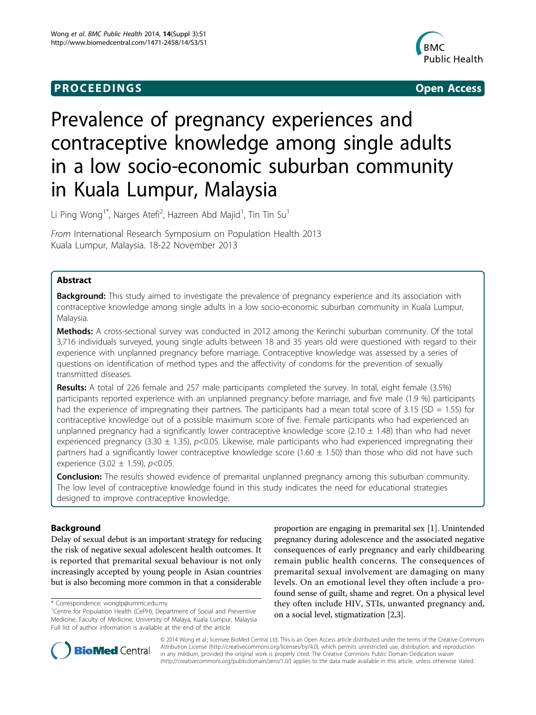## **PROCEEDINGS CONSIDERING S** Open Access



# Prevalence of pregnancy experiences and contraceptive knowledge among single adults in a low socio-economic suburban community in Kuala Lumpur, Malaysia

Li Ping Wong<sup>1\*</sup>, Narges Atefi<sup>2</sup>, Hazreen Abd Majid<sup>1</sup>, Tin Tin Su<sup>1</sup>

From International Research Symposium on Population Health 2013 Kuala Lumpur, Malaysia. 18-22 November 2013

## Abstract

**Background:** This study aimed to investigate the prevalence of pregnancy experience and its association with contraceptive knowledge among single adults in a low socio-economic suburban community in Kuala Lumpur, Malaysia.

Methods: A cross-sectional survey was conducted in 2012 among the Kerinchi suburban community. Of the total 3,716 individuals surveyed, young single adults between 18 and 35 years old were questioned with regard to their experience with unplanned pregnancy before marriage. Contraceptive knowledge was assessed by a series of questions on identification of method types and the affectivity of condoms for the prevention of sexually transmitted diseases.

Results: A total of 226 female and 257 male participants completed the survey. In total, eight female (3.5%) participants reported experience with an unplanned pregnancy before marriage, and five male (1.9 %) participants had the experience of impregnating their partners. The participants had a mean total score of 3.15 (SD = 1.55) for contraceptive knowledge out of a possible maximum score of five. Female participants who had experienced an unplanned pregnancy had a significantly lower contraceptive knowledge score (2.10  $\pm$  1.48) than who had never experienced pregnancy (3.30  $\pm$  1.35), p<0.05. Likewise, male participants who had experienced impregnating their partners had a significantly lower contraceptive knowledge score (1.60  $\pm$  1.50) than those who did not have such experience  $(3.02 \pm 1.59)$ , p<0.05.

**Conclusion:** The results showed evidence of premarital unplanned pregnancy among this suburban community. The low level of contraceptive knowledge found in this study indicates the need for educational strategies designed to improve contraceptive knowledge.

## Background

Delay of sexual debut is an important strategy for reducing the risk of negative sexual adolescent health outcomes. It is reported that premarital sexual behaviour is not only increasingly accepted by young people in Asian countries but is also becoming more common in that a considerable

proportion are engaging in premarital sex [\[1](#page-6-0)]. Unintended pregnancy during adolescence and the associated negative consequences of early pregnancy and early childbearing remain public health concerns. The consequences of premarital sexual involvement are damaging on many levels. On an emotional level they often include a profound sense of guilt, shame and regret. On a physical level they often include HIV, STIs, unwanted pregnancy and, on a social level, stigmatization [[2,3](#page-6-0)].



© 2014 Wong et al.; licensee BioMed Central Ltd. This is an Open Access article distributed under the terms of the Creative Commons Attribution License [\(http://creativecommons.org/licenses/by/4.0](http://creativecommons.org/licenses/by/4.0)), which permits unrestricted use, distribution, and reproduction in any medium, provided the original work is properly cited. The Creative Commons Public Domain Dedication waiver [\(http://creativecommons.org/publicdomain/zero/1.0/](http://�creativecommons.org/publicdomain/zero/1.0/)) applies to the data made available in this article, unless otherwise stated.

<sup>\*</sup> Correspondence: [wonglp@ummc.edu.my](mailto:wonglp@ummc.edu.my)

<sup>&</sup>lt;sup>1</sup> Centre for Population Health (CePH), Department of Social and Preventive Medicine, Faculty of Medicine, University of Malaya, Kuala Lumpur, Malaysia Full list of author information is available at the end of the article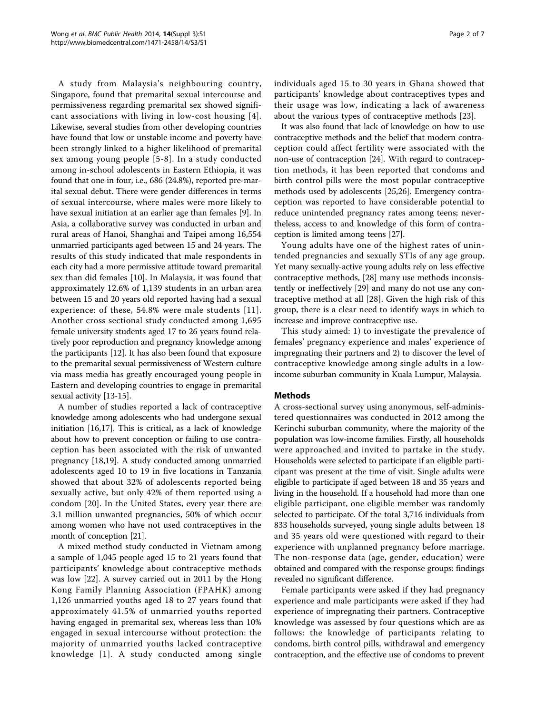A study from Malaysia's neighbouring country, Singapore, found that premarital sexual intercourse and permissiveness regarding premarital sex showed significant associations with living in low-cost housing [[4\]](#page-6-0). Likewise, several studies from other developing countries have found that low or unstable income and poverty have been strongly linked to a higher likelihood of premarital sex among young people [[5-8\]](#page-6-0). In a study conducted among in-school adolescents in Eastern Ethiopia, it was found that one in four, i.e., 686 (24.8%), reported pre-marital sexual debut. There were gender differences in terms of sexual intercourse, where males were more likely to have sexual initiation at an earlier age than females [[9\]](#page-6-0). In Asia, a collaborative survey was conducted in urban and rural areas of Hanoi, Shanghai and Taipei among 16,554 unmarried participants aged between 15 and 24 years. The results of this study indicated that male respondents in each city had a more permissive attitude toward premarital sex than did females [[10](#page-6-0)]. In Malaysia, it was found that approximately 12.6% of 1,139 students in an urban area between 15 and 20 years old reported having had a sexual experience: of these, 54.8% were male students [[11\]](#page-6-0). Another cross sectional study conducted among 1,695 female university students aged 17 to 26 years found relatively poor reproduction and pregnancy knowledge among the participants [[12](#page-6-0)]. It has also been found that exposure to the premarital sexual permissiveness of Western culture via mass media has greatly encouraged young people in Eastern and developing countries to engage in premarital sexual activity [\[13-15\]](#page-6-0).

A number of studies reported a lack of contraceptive knowledge among adolescents who had undergone sexual initiation [\[16,17](#page-6-0)]. This is critical, as a lack of knowledge about how to prevent conception or failing to use contraception has been associated with the risk of unwanted pregnancy [\[18,19\]](#page-6-0). A study conducted among unmarried adolescents aged 10 to 19 in five locations in Tanzania showed that about 32% of adolescents reported being sexually active, but only 42% of them reported using a condom [\[20](#page-6-0)]. In the United States, every year there are 3.1 million unwanted pregnancies, 50% of which occur among women who have not used contraceptives in the month of conception [[21](#page-6-0)].

A mixed method study conducted in Vietnam among a sample of 1,045 people aged 15 to 21 years found that participants' knowledge about contraceptive methods was low [\[22](#page-6-0)]. A survey carried out in 2011 by the Hong Kong Family Planning Association (FPAHK) among 1,126 unmarried youths aged 18 to 27 years found that approximately 41.5% of unmarried youths reported having engaged in premarital sex, whereas less than 10% engaged in sexual intercourse without protection: the majority of unmarried youths lacked contraceptive knowledge [[1\]](#page-6-0). A study conducted among single individuals aged 15 to 30 years in Ghana showed that participants' knowledge about contraceptives types and their usage was low, indicating a lack of awareness about the various types of contraceptive methods [[23\]](#page-6-0).

It was also found that lack of knowledge on how to use contraceptive methods and the belief that modern contraception could affect fertility were associated with the non-use of contraception [\[24\]](#page-6-0). With regard to contraception methods, it has been reported that condoms and birth control pills were the most popular contraceptive methods used by adolescents [[25,26](#page-6-0)]. Emergency contraception was reported to have considerable potential to reduce unintended pregnancy rates among teens; nevertheless, access to and knowledge of this form of contraception is limited among teens [\[27\]](#page-6-0).

Young adults have one of the highest rates of unintended pregnancies and sexually STIs of any age group. Yet many sexually-active young adults rely on less effective contraceptive methods, [\[28\]](#page-6-0) many use methods inconsistently or ineffectively [\[29](#page-6-0)] and many do not use any contraceptive method at all [\[28](#page-6-0)]. Given the high risk of this group, there is a clear need to identify ways in which to increase and improve contraceptive use.

This study aimed: 1) to investigate the prevalence of females' pregnancy experience and males' experience of impregnating their partners and 2) to discover the level of contraceptive knowledge among single adults in a lowincome suburban community in Kuala Lumpur, Malaysia.

## Methods

A cross-sectional survey using anonymous, self-administered questionnaires was conducted in 2012 among the Kerinchi suburban community, where the majority of the population was low-income families. Firstly, all households were approached and invited to partake in the study. Households were selected to participate if an eligible participant was present at the time of visit. Single adults were eligible to participate if aged between 18 and 35 years and living in the household. If a household had more than one eligible participant, one eligible member was randomly selected to participate. Of the total 3,716 individuals from 833 households surveyed, young single adults between 18 and 35 years old were questioned with regard to their experience with unplanned pregnancy before marriage. The non-response data (age, gender, education) were obtained and compared with the response groups: findings revealed no significant difference.

Female participants were asked if they had pregnancy experience and male participants were asked if they had experience of impregnating their partners. Contraceptive knowledge was assessed by four questions which are as follows: the knowledge of participants relating to condoms, birth control pills, withdrawal and emergency contraception, and the effective use of condoms to prevent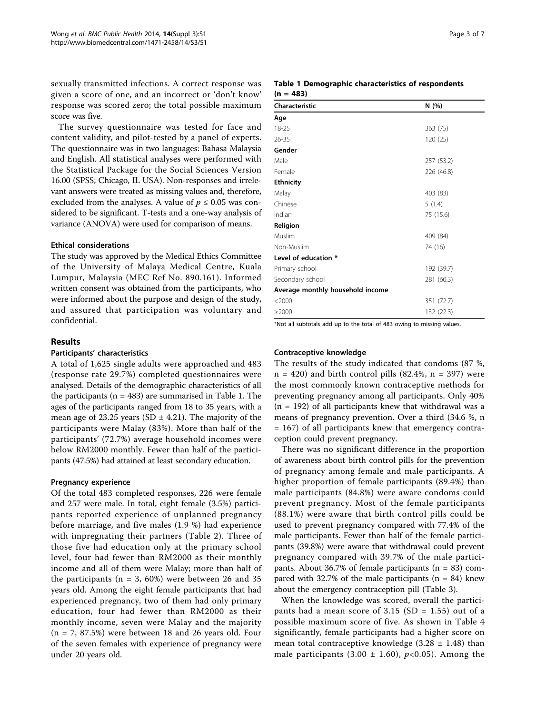sexually transmitted infections. A correct response was given a score of one, and an incorrect or 'don't know' response was scored zero; the total possible maximum score was five.

The survey questionnaire was tested for face and content validity, and pilot-tested by a panel of experts. The questionnaire was in two languages: Bahasa Malaysia and English. All statistical analyses were performed with the Statistical Package for the Social Sciences Version 16.00 (SPSS; Chicago, IL USA). Non-responses and irrelevant answers were treated as missing values and, therefore, excluded from the analyses. A value of  $p \leq 0.05$  was considered to be significant. T-tests and a one-way analysis of variance (ANOVA) were used for comparison of means.

## Ethical considerations

The study was approved by the Medical Ethics Committee of the University of Malaya Medical Centre, Kuala Lumpur, Malaysia (MEC Ref No. 890.161). Informed written consent was obtained from the participants, who were informed about the purpose and design of the study, and assured that participation was voluntary and confidential.

## Results

#### Participants' characteristics

A total of 1,625 single adults were approached and 483 (response rate 29.7%) completed questionnaires were analysed. Details of the demographic characteristics of all the participants ( $n = 483$ ) are summarised in Table 1. The ages of the participants ranged from 18 to 35 years, with a mean age of 23.25 years (SD  $\pm$  4.21). The majority of the participants were Malay (83%). More than half of the participants' (72.7%) average household incomes were below RM2000 monthly. Fewer than half of the participants (47.5%) had attained at least secondary education.

### Pregnancy experience

Of the total 483 completed responses, 226 were female and 257 were male. In total, eight female (3.5%) participants reported experience of unplanned pregnancy before marriage, and five males (1.9 %) had experience with impregnating their partners (Table [2](#page-3-0)). Three of those five had education only at the primary school level, four had fewer than RM2000 as their monthly income and all of them were Malay; more than half of the participants ( $n = 3$ , 60%) were between 26 and 35 years old. Among the eight female participants that had experienced pregnancy, two of them had only primary education, four had fewer than RM2000 as their monthly income, seven were Malay and the majority  $(n = 7, 87.5%)$  were between 18 and 26 years old. Four of the seven females with experience of pregnancy were under 20 years old.

### Table 1 Demographic characteristics of respondents  $(n = 483)$

| Characteristic                   | N(%)       |
|----------------------------------|------------|
| Age                              |            |
| 18-25                            | 363 (75)   |
| $26 - 35$                        | 120 (25)   |
| Gender                           |            |
| Male                             | 257 (53.2) |
| Female                           | 226 (46.8) |
| <b>Ethnicity</b>                 |            |
| Malay                            | 403 (83)   |
| Chinese                          | 5(1.4)     |
| Indian                           | 75 (15.6)  |
| Religion                         |            |
| Muslim                           | 409 (84)   |
| Non-Muslim                       | 74 (16)    |
| Level of education *             |            |
| Primary school                   | 192 (39.7) |
| Secondary school                 | 281 (60.3) |
| Average monthly household income |            |
| $<$ 2000                         | 351 (72.7) |
| $\geq$ 2000                      | 132 (22.3) |

\*Not all subtotals add up to the total of 483 owing to missing values.

#### Contraceptive knowledge

The results of the study indicated that condoms (87 %,  $n = 420$ ) and birth control pills (82.4%,  $n = 397$ ) were the most commonly known contraceptive methods for preventing pregnancy among all participants. Only 40%  $(n = 192)$  of all participants knew that withdrawal was a means of pregnancy prevention. Over a third (34.6 %, n = 167) of all participants knew that emergency contraception could prevent pregnancy.

There was no significant difference in the proportion of awareness about birth control pills for the prevention of pregnancy among female and male participants. A higher proportion of female participants (89.4%) than male participants (84.8%) were aware condoms could prevent pregnancy. Most of the female participants (88.1%) were aware that birth control pills could be used to prevent pregnancy compared with 77.4% of the male participants. Fewer than half of the female participants (39.8%) were aware that withdrawal could prevent pregnancy compared with 39.7% of the male participants. About 36.7% of female participants ( $n = 83$ ) compared with 32.7% of the male participants  $(n = 84)$  knew about the emergency contraception pill (Table [3\)](#page-3-0).

When the knowledge was scored, overall the participants had a mean score of 3.15 (SD = 1.55) out of a possible maximum score of five. As shown in Table [4](#page-4-0) significantly, female participants had a higher score on mean total contraceptive knowledge  $(3.28 \pm 1.48)$  than male participants (3.00  $\pm$  1.60), p<0.05). Among the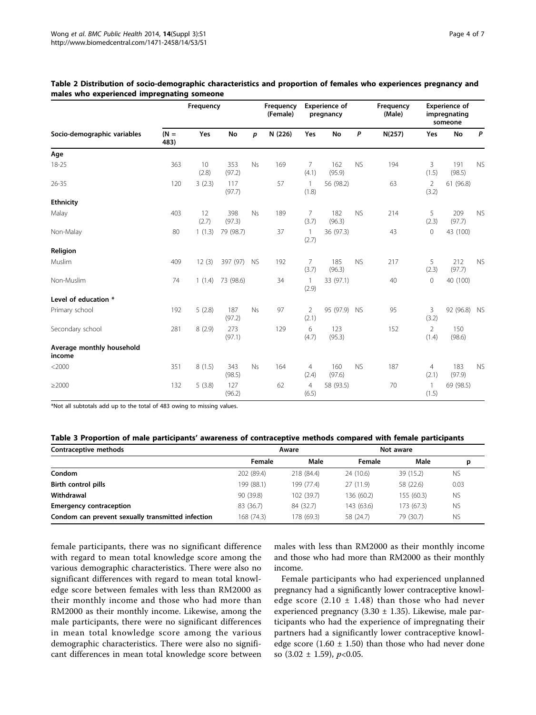|                                     | Frequency      |             |               | Frequency<br>(Female) | <b>Experience of</b><br>pregnancy |                         |               | Frequency<br>(Male) | <b>Experience of</b><br>impregnating<br>someone |                         |               |           |
|-------------------------------------|----------------|-------------|---------------|-----------------------|-----------------------------------|-------------------------|---------------|---------------------|-------------------------------------------------|-------------------------|---------------|-----------|
| Socio-demographic variables         | $(N =$<br>483) | Yes         | <b>No</b>     | p                     | N (226)                           | Yes                     | <b>No</b>     | P                   | N(257)                                          | Yes                     | <b>No</b>     | P         |
| Age                                 |                |             |               |                       |                                   |                         |               |                     |                                                 |                         |               |           |
| $18 - 25$                           | 363            | 10<br>(2.8) | 353<br>(97.2) | Ns                    | 169                               | 7<br>(4.1)              | 162<br>(95.9) | <b>NS</b>           | 194                                             | 3<br>(1.5)              | 191<br>(98.5) | <b>NS</b> |
| $26 - 35$                           | 120            | 3(2.3)      | 117<br>(97.7) |                       | 57                                | $\mathbf{1}$<br>(1.8)   | 56 (98.2)     |                     | 63                                              | $\overline{2}$<br>(3.2) | 61 (96.8)     |           |
| <b>Ethnicity</b>                    |                |             |               |                       |                                   |                         |               |                     |                                                 |                         |               |           |
| Malay                               | 403            | 12<br>(2.7) | 398<br>(97.3) | Ns                    | 189                               | $\overline{7}$<br>(3.7) | 182<br>(96.3) | <b>NS</b>           | 214                                             | 5<br>(2.3)              | 209<br>(97.7) | <b>NS</b> |
| Non-Malay                           | 80             | 1(1.3)      | 79 (98.7)     |                       | 37                                | $\mathbf{1}$<br>(2.7)   | 36 (97.3)     |                     | 43                                              | $\mathsf{O}\xspace$     | 43 (100)      |           |
| Religion                            |                |             |               |                       |                                   |                         |               |                     |                                                 |                         |               |           |
| Muslim                              | 409            | 12(3)       | 397 (97) NS   |                       | 192                               | 7<br>(3.7)              | 185<br>(96.3) | <b>NS</b>           | 217                                             | 5<br>(2.3)              | 212<br>(97.7) | <b>NS</b> |
| Non-Muslim                          | 74             | 1(1.4)      | 73 (98.6)     |                       | 34                                | $\mathbf{1}$<br>(2.9)   | 33 (97.1)     |                     | 40                                              | $\mathsf{O}\xspace$     | 40 (100)      |           |
| Level of education *                |                |             |               |                       |                                   |                         |               |                     |                                                 |                         |               |           |
| Primary school                      | 192            | 5(2.8)      | 187<br>(97.2) | Ns                    | 97                                | $\overline{2}$<br>(2.1) | 95 (97.9) NS  |                     | 95                                              | $\overline{3}$<br>(3.2) | 92 (96.8)     | <b>NS</b> |
| Secondary school                    | 281            | 8(2.9)      | 273<br>(97.1) |                       | 129                               | 6<br>(4.7)              | 123<br>(95.3) |                     | 152                                             | $\overline{2}$<br>(1.4) | 150<br>(98.6) |           |
| Average monthly household<br>income |                |             |               |                       |                                   |                         |               |                     |                                                 |                         |               |           |
| $<$ 2000                            | 351            | 8(1.5)      | 343<br>(98.5) | Ns                    | 164                               | $\overline{4}$<br>(2.4) | 160<br>(97.6) | <b>NS</b>           | 187                                             | $\overline{4}$<br>(2.1) | 183<br>(97.9) | <b>NS</b> |
| $\geq$ 2000                         | 132            | 5(3.8)      | 127<br>(96.2) |                       | 62                                | $\overline{4}$<br>(6.5) | 58 (93.5)     |                     | 70                                              | $\mathbf{1}$<br>(1.5)   | 69 (98.5)     |           |

## <span id="page-3-0"></span>Table 2 Distribution of socio-demographic characteristics and proportion of females who experiences pregnancy and males who experienced impregnating someone

\*Not all subtotals add up to the total of 483 owing to missing values.

| Contraceptive methods                             |            | Aware      |            | Not aware  |           |  |
|---------------------------------------------------|------------|------------|------------|------------|-----------|--|
|                                                   | Female     | Male       | Female     | Male       | р         |  |
| Condom                                            | 202 (89.4) | 218 (84.4) | 24 (10.6)  | 39 (15.2)  | <b>NS</b> |  |
| Birth control pills                               | 199 (88.1) | 199 (77.4) | 27 (11.9)  | 58 (22.6)  | 0.03      |  |
| Withdrawal                                        | 90 (39.8)  | 102 (39.7) | 136 (60.2) | 155 (60.3) | <b>NS</b> |  |
| <b>Emergency contraception</b>                    | 83 (36.7)  | 84 (32.7)  | 143 (63.6) | 173 (67.3) | <b>NS</b> |  |
| Condom can prevent sexually transmitted infection | 168 (74.3) | 178 (69.3) | 58 (24.7)  | 79 (30.7)  | <b>NS</b> |  |

female participants, there was no significant difference with regard to mean total knowledge score among the various demographic characteristics. There were also no significant differences with regard to mean total knowledge score between females with less than RM2000 as their monthly income and those who had more than RM2000 as their monthly income. Likewise, among the male participants, there were no significant differences in mean total knowledge score among the various demographic characteristics. There were also no significant differences in mean total knowledge score between males with less than RM2000 as their monthly income and those who had more than RM2000 as their monthly income.

Female participants who had experienced unplanned pregnancy had a significantly lower contraceptive knowledge score  $(2.10 \pm 1.48)$  than those who had never experienced pregnancy (3.30  $\pm$  1.35). Likewise, male participants who had the experience of impregnating their partners had a significantly lower contraceptive knowledge score  $(1.60 \pm 1.50)$  than those who had never done so  $(3.02 \pm 1.59)$ ,  $p<0.05$ .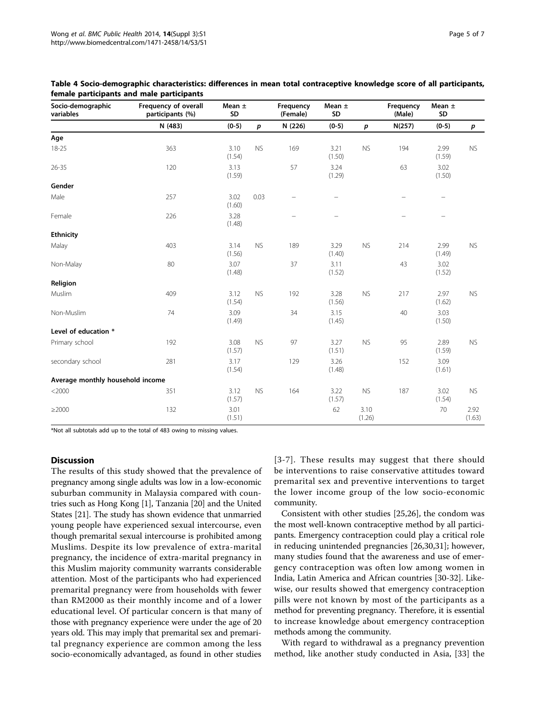| Socio-demographic<br>variables   | Frequency of overall<br>participants (%) | Mean $\pm$<br>SD |           | Frequency<br>(Female)    | Mean $\pm$<br>SD         |                | Frequency<br>(Male)      | Mean $\pm$<br>SD         |                |
|----------------------------------|------------------------------------------|------------------|-----------|--------------------------|--------------------------|----------------|--------------------------|--------------------------|----------------|
|                                  | N (483)                                  | $(0-5)$          | p         | N (226)                  | $(0-5)$                  | p              | N(257)                   | $(0-5)$                  | p              |
| Age                              |                                          |                  |           |                          |                          |                |                          |                          |                |
| 18-25                            | 363                                      | 3.10<br>(1.54)   | <b>NS</b> | 169                      | 3.21<br>(1.50)           | <b>NS</b>      | 194                      | 2.99<br>(1.59)           | <b>NS</b>      |
| $26 - 35$                        | 120                                      | 3.13<br>(1.59)   |           | 57                       | 3.24<br>(1.29)           |                | 63                       | 3.02<br>(1.50)           |                |
| Gender                           |                                          |                  |           |                          |                          |                |                          |                          |                |
| Male                             | 257                                      | 3.02<br>(1.60)   | 0.03      |                          | $\overline{\phantom{0}}$ |                | $\qquad \qquad -$        | $\overline{\phantom{m}}$ |                |
| Female                           | 226                                      | 3.28<br>(1.48)   |           | $\overline{\phantom{0}}$ | $\overline{\phantom{0}}$ |                | $\overline{\phantom{0}}$ | $\overline{\phantom{0}}$ |                |
| <b>Ethnicity</b>                 |                                          |                  |           |                          |                          |                |                          |                          |                |
| Malay                            | 403                                      | 3.14<br>(1.56)   | <b>NS</b> | 189                      | 3.29<br>(1.40)           | <b>NS</b>      | 214                      | 2.99<br>(1.49)           | <b>NS</b>      |
| Non-Malay                        | 80                                       | 3.07<br>(1.48)   |           | 37                       | 3.11<br>(1.52)           |                | 43                       | 3.02<br>(1.52)           |                |
| Religion                         |                                          |                  |           |                          |                          |                |                          |                          |                |
| Muslim                           | 409                                      | 3.12<br>(1.54)   | <b>NS</b> | 192                      | 3.28<br>(1.56)           | ${\sf NS}$     | 217                      | 2.97<br>(1.62)           | <b>NS</b>      |
| Non-Muslim                       | 74                                       | 3.09<br>(1.49)   |           | 34                       | 3.15<br>(1.45)           |                | 40                       | 3.03<br>(1.50)           |                |
| Level of education *             |                                          |                  |           |                          |                          |                |                          |                          |                |
| Primary school                   | 192                                      | 3.08<br>(1.57)   | <b>NS</b> | 97                       | 3.27<br>(1.51)           | <b>NS</b>      | 95                       | 2.89<br>(1.59)           | <b>NS</b>      |
| secondary school                 | 281                                      | 3.17<br>(1.54)   |           | 129                      | 3.26<br>(1.48)           |                | 152                      | 3.09<br>(1.61)           |                |
| Average monthly household income |                                          |                  |           |                          |                          |                |                          |                          |                |
| $<$ 2000                         | 351                                      | 3.12<br>(1.57)   | <b>NS</b> | 164                      | 3.22<br>(1.57)           | <b>NS</b>      | 187                      | 3.02<br>(1.54)           | <b>NS</b>      |
| $\geq$ 2000                      | 132                                      | 3.01<br>(1.51)   |           |                          | 62                       | 3.10<br>(1.26) |                          | 70                       | 2.92<br>(1.63) |

<span id="page-4-0"></span>Table 4 Socio-demographic characteristics: differences in mean total contraceptive knowledge score of all participants, female participants and male participants

\*Not all subtotals add up to the total of 483 owing to missing values.

## **Discussion**

The results of this study showed that the prevalence of pregnancy among single adults was low in a low-economic suburban community in Malaysia compared with countries such as Hong Kong [\[1](#page-6-0)], Tanzania [\[20\]](#page-6-0) and the United States [\[21\]](#page-6-0). The study has shown evidence that unmarried young people have experienced sexual intercourse, even though premarital sexual intercourse is prohibited among Muslims. Despite its low prevalence of extra-marital pregnancy, the incidence of extra-marital pregnancy in this Muslim majority community warrants considerable attention. Most of the participants who had experienced premarital pregnancy were from households with fewer than RM2000 as their monthly income and of a lower educational level. Of particular concern is that many of those with pregnancy experience were under the age of 20 years old. This may imply that premarital sex and premarital pregnancy experience are common among the less socio-economically advantaged, as found in other studies [[3-7\]](#page-6-0). These results may suggest that there should be interventions to raise conservative attitudes toward premarital sex and preventive interventions to target the lower income group of the low socio-economic community.

Consistent with other studies [\[25](#page-6-0),[26](#page-6-0)], the condom was the most well-known contraceptive method by all participants. Emergency contraception could play a critical role in reducing unintended pregnancies [\[26](#page-6-0),[30](#page-6-0),[31\]](#page-6-0); however, many studies found that the awareness and use of emergency contraception was often low among women in India, Latin America and African countries [\[30](#page-6-0)-[32](#page-6-0)]. Likewise, our results showed that emergency contraception pills were not known by most of the participants as a method for preventing pregnancy. Therefore, it is essential to increase knowledge about emergency contraception methods among the community.

With regard to withdrawal as a pregnancy prevention method, like another study conducted in Asia, [[33\]](#page-6-0) the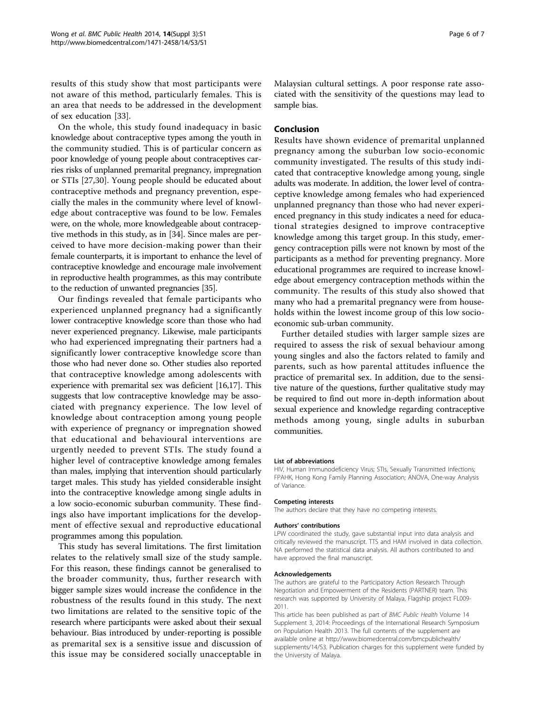results of this study show that most participants were not aware of this method, particularly females. This is an area that needs to be addressed in the development of sex education [\[33\]](#page-6-0).

On the whole, this study found inadequacy in basic knowledge about contraceptive types among the youth in the community studied. This is of particular concern as poor knowledge of young people about contraceptives carries risks of unplanned premarital pregnancy, impregnation or STIs [[27,30\]](#page-6-0). Young people should be educated about contraceptive methods and pregnancy prevention, especially the males in the community where level of knowledge about contraceptive was found to be low. Females were, on the whole, more knowledgeable about contraceptive methods in this study, as in [[34\]](#page-6-0). Since males are perceived to have more decision-making power than their female counterparts, it is important to enhance the level of contraceptive knowledge and encourage male involvement in reproductive health programmes, as this may contribute to the reduction of unwanted pregnancies [\[35\]](#page-6-0).

Our findings revealed that female participants who experienced unplanned pregnancy had a significantly lower contraceptive knowledge score than those who had never experienced pregnancy. Likewise, male participants who had experienced impregnating their partners had a significantly lower contraceptive knowledge score than those who had never done so. Other studies also reported that contraceptive knowledge among adolescents with experience with premarital sex was deficient [[16,17](#page-6-0)]. This suggests that low contraceptive knowledge may be associated with pregnancy experience. The low level of knowledge about contraception among young people with experience of pregnancy or impregnation showed that educational and behavioural interventions are urgently needed to prevent STIs. The study found a higher level of contraceptive knowledge among females than males, implying that intervention should particularly target males. This study has yielded considerable insight into the contraceptive knowledge among single adults in a low socio-economic suburban community. These findings also have important implications for the development of effective sexual and reproductive educational programmes among this population.

This study has several limitations. The first limitation relates to the relatively small size of the study sample. For this reason, these findings cannot be generalised to the broader community, thus, further research with bigger sample sizes would increase the confidence in the robustness of the results found in this study. The next two limitations are related to the sensitive topic of the research where participants were asked about their sexual behaviour. Bias introduced by under-reporting is possible as premarital sex is a sensitive issue and discussion of this issue may be considered socially unacceptable in

Malaysian cultural settings. A poor response rate associated with the sensitivity of the questions may lead to sample bias.

### Conclusion

Results have shown evidence of premarital unplanned pregnancy among the suburban low socio-economic community investigated. The results of this study indicated that contraceptive knowledge among young, single adults was moderate. In addition, the lower level of contraceptive knowledge among females who had experienced unplanned pregnancy than those who had never experienced pregnancy in this study indicates a need for educational strategies designed to improve contraceptive knowledge among this target group. In this study, emergency contraception pills were not known by most of the participants as a method for preventing pregnancy. More educational programmes are required to increase knowledge about emergency contraception methods within the community. The results of this study also showed that many who had a premarital pregnancy were from households within the lowest income group of this low socioeconomic sub-urban community.

Further detailed studies with larger sample sizes are required to assess the risk of sexual behaviour among young singles and also the factors related to family and parents, such as how parental attitudes influence the practice of premarital sex. In addition, due to the sensitive nature of the questions, further qualitative study may be required to find out more in-depth information about sexual experience and knowledge regarding contraceptive methods among young, single adults in suburban communities.

#### List of abbreviations

HIV, Human Immunodeficiency Virus; STIs, Sexually Transmitted Infections; FPAHK, Hong Kong Family Planning Association; ANOVA, One-way Analysis of Variance.

#### Competing interests

The authors declare that they have no competing interests.

#### Authors' contributions

LPW coordinated the study, gave substantial input into data analysis and critically reviewed the manuscript. TTS and HAM involved in data collection. NA performed the statistical data analysis. All authors contributed to and have approved the final manuscript.

#### Acknowledgements

The authors are grateful to the Participatory Action Research Through Negotiation and Empowerment of the Residents (PARTNER) team. This research was supported by University of Malaya, Flagship project FL009- 2011.

This article has been published as part of BMC Public Health Volume 14 Supplement 3, 2014: Proceedings of the International Research Symposium on Population Health 2013. The full contents of the supplement are available online at [http://www.biomedcentral.com/bmcpublichealth/](http://www.biomedcentral.com/bmcpublichealth/supplements/14/S3) [supplements/14/S3.](http://www.biomedcentral.com/bmcpublichealth/supplements/14/S3) Publication charges for this supplement were funded by the University of Malaya.